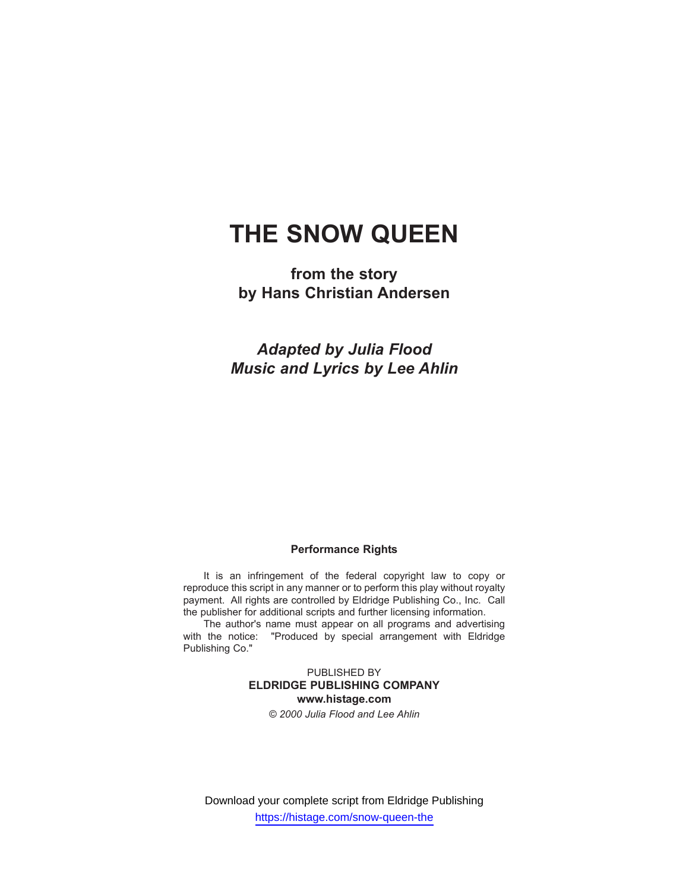# **THE SNOW QUEEN**

**from the story by Hans Christian Andersen**

*Adapted by Julia Flood Music and Lyrics by Lee Ahlin*

#### **Performance Rights**

It is an infringement of the federal copyright law to copy or reproduce this script in any manner or to perform this play without royalty payment. All rights are controlled by Eldridge Publishing Co., Inc. Call the publisher for additional scripts and further licensing information.

The author's name must appear on all programs and advertising with the notice: "Produced by special arrangement with Eldridge Publishing Co."

> PUBLISHED BY **ELDRIDGE PUBLISHING COMPANY www.histage.com** *© 2000 Julia Flood and Lee Ahlin*

Download your complete script from Eldridge Publishing https://histage.com/snow-queen-the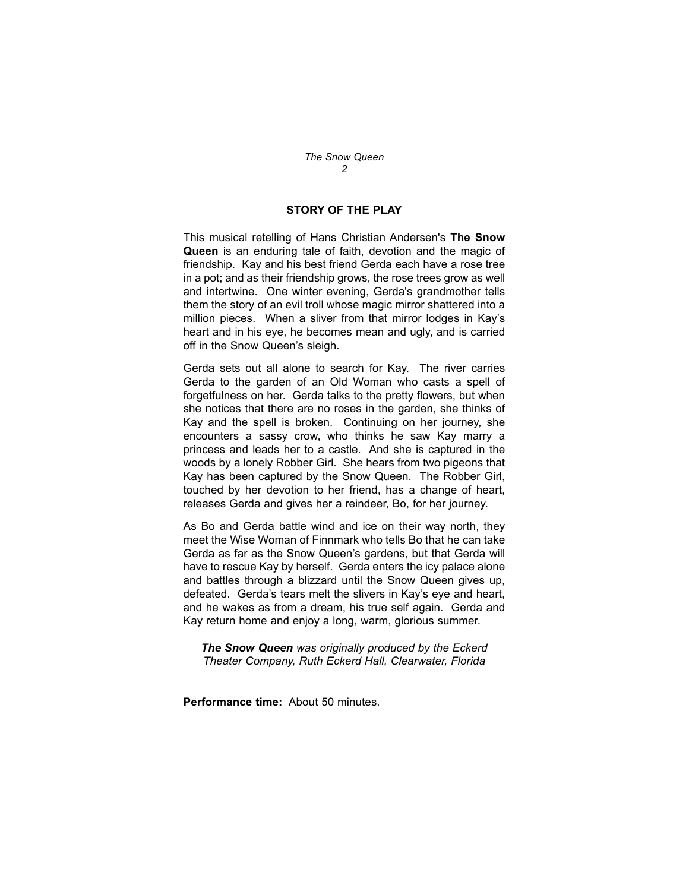## **STORY OF THE PLAY**

This musical retelling of Hans Christian Andersen's **The Snow Queen** is an enduring tale of faith, devotion and the magic of friendship. Kay and his best friend Gerda each have a rose tree in a pot; and as their friendship grows, the rose trees grow as well and intertwine. One winter evening, Gerda's grandmother tells them the story of an evil troll whose magic mirror shattered into a million pieces. When a sliver from that mirror lodges in Kay's heart and in his eye, he becomes mean and ugly, and is carried off in the Snow Queen's sleigh.

Gerda sets out all alone to search for Kay. The river carries Gerda to the garden of an Old Woman who casts a spell of forgetfulness on her. Gerda talks to the pretty flowers, but when she notices that there are no roses in the garden, she thinks of Kay and the spell is broken. Continuing on her journey, she encounters a sassy crow, who thinks he saw Kay marry a princess and leads her to a castle. And she is captured in the woods by a lonely Robber Girl. She hears from two pigeons that Kay has been captured by the Snow Queen. The Robber Girl, touched by her devotion to her friend, has a change of heart, releases Gerda and gives her a reindeer, Bo, for her journey.

As Bo and Gerda battle wind and ice on their way north, they meet the Wise Woman of Finnmark who tells Bo that he can take Gerda as far as the Snow Queen's gardens, but that Gerda will have to rescue Kay by herself. Gerda enters the icy palace alone and battles through a blizzard until the Snow Queen gives up, defeated. Gerda's tears melt the slivers in Kay's eye and heart, and he wakes as from a dream, his true self again. Gerda and Kay return home and enjoy a long, warm, glorious summer.

*The Snow Queen was originally produced by the Eckerd Theater Company, Ruth Eckerd Hall, Clearwater, Florida*

**Performance time:** About 50 minutes.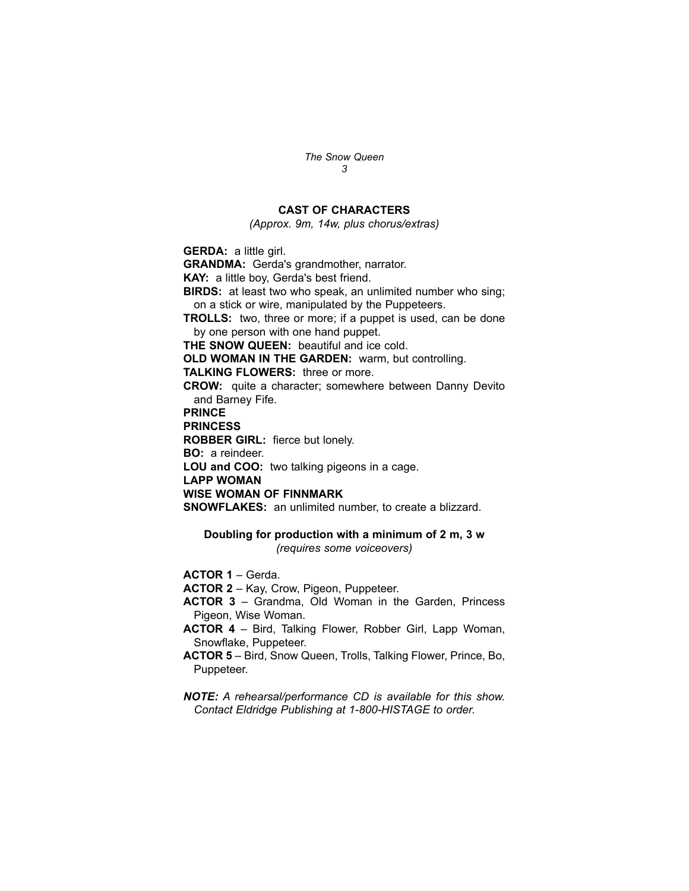## **CAST OF CHARACTERS**

*(Approx. 9m, 14w, plus chorus/extras)* 

**GERDA:** a little girl.

**GRANDMA:** Gerda's grandmother, narrator.

**KAY:** a little boy, Gerda's best friend.

**BIRDS:** at least two who speak, an unlimited number who sing; on a stick or wire, manipulated by the Puppeteers.

**TROLLS:** two, three or more; if a puppet is used, can be done by one person with one hand puppet.

**THE SNOW QUEEN:** beautiful and ice cold.

**OLD WOMAN IN THE GARDEN: warm, but controlling.** 

**TALKING FLOWERS:** three or more.

**CROW:** quite a character; somewhere between Danny Devito and Barney Fife.

**PRINCE**

**PRINCESS**

**ROBBER GIRL:** fierce but lonely.

**BO:** a reindeer.

**LOU and COO:** two talking pigeons in a cage.

**LAPP WOMAN**

#### **WISE WOMAN OF FINNMARK**

**SNOWFLAKES:** an unlimited number, to create a blizzard.

## **Doubling for production with a minimum of 2 m, 3 w** *(requires some voiceovers)*

**ACTOR 1** – Gerda.

- **ACTOR 2** Kay, Crow, Pigeon, Puppeteer.
- **ACTOR 3** Grandma, Old Woman in the Garden, Princess Pigeon, Wise Woman.
- **ACTOR 4** Bird, Talking Flower, Robber Girl, Lapp Woman, Snowflake, Puppeteer.
- **ACTOR 5** Bird, Snow Queen, Trolls, Talking Flower, Prince, Bo, Puppeteer.

*NOTE: A rehearsal/performance CD is available for this show. Contact Eldridge Publishing at 1-800-HISTAGE to order.*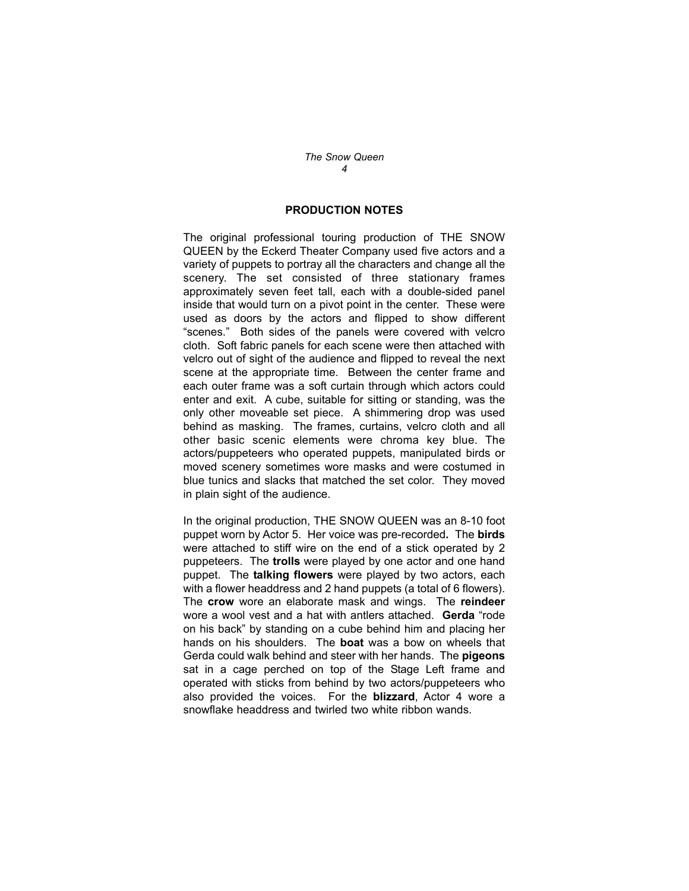## **PRODUCTION NOTES**

The original professional touring production of THE SNOW QUEEN by the Eckerd Theater Company used five actors and a variety of puppets to portray all the characters and change all the scenery. The set consisted of three stationary frames approximately seven feet tall, each with a double-sided panel inside that would turn on a pivot point in the center. These were used as doors by the actors and flipped to show different "scenes." Both sides of the panels were covered with velcro cloth. Soft fabric panels for each scene were then attached with velcro out of sight of the audience and flipped to reveal the next scene at the appropriate time. Between the center frame and each outer frame was a soft curtain through which actors could enter and exit. A cube, suitable for sitting or standing, was the only other moveable set piece. A shimmering drop was used behind as masking. The frames, curtains, velcro cloth and all other basic scenic elements were chroma key blue. The actors/puppeteers who operated puppets, manipulated birds or moved scenery sometimes wore masks and were costumed in blue tunics and slacks that matched the set color. They moved in plain sight of the audience.

In the original production, THE SNOW QUEEN was an 8-10 foot puppet worn by Actor 5. Her voice was pre-recorded**.** The **birds** were attached to stiff wire on the end of a stick operated by 2 puppeteers. The **trolls** were played by one actor and one hand puppet. The **talking flowers** were played by two actors, each with a flower headdress and 2 hand puppets (a total of 6 flowers). The **crow** wore an elaborate mask and wings. The **reindeer** wore a wool vest and a hat with antlers attached. **Gerda** "rode on his back" by standing on a cube behind him and placing her hands on his shoulders. The **boat** was a bow on wheels that Gerda could walk behind and steer with her hands. The **pigeons** sat in a cage perched on top of the Stage Left frame and operated with sticks from behind by two actors/puppeteers who also provided the voices. For the **blizzard**, Actor 4 wore a snowflake headdress and twirled two white ribbon wands.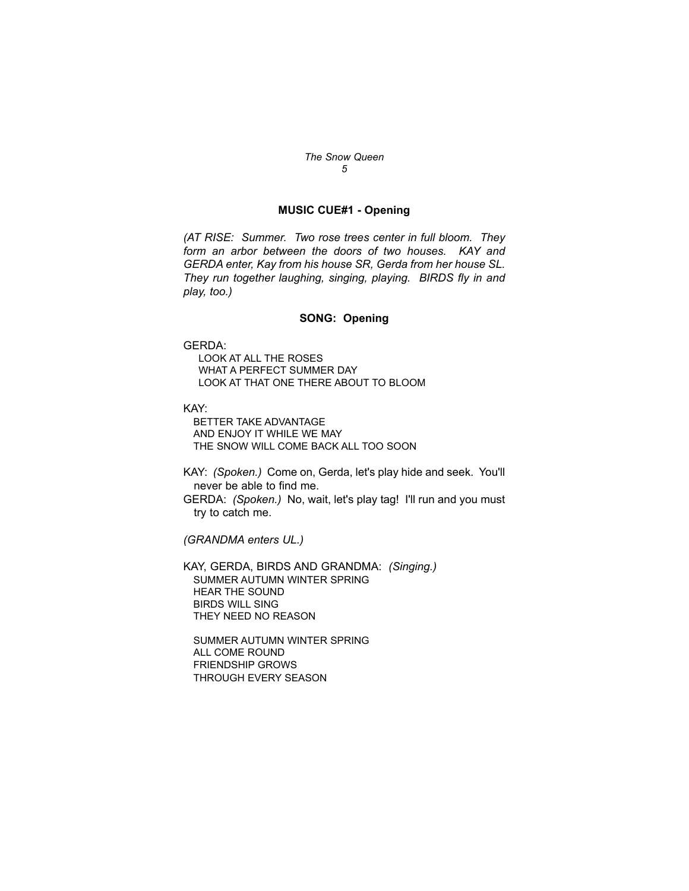### **MUSIC CUE#1 - Opening**

*(AT RISE: Summer. Two rose trees center in full bloom. They form an arbor between the doors of two houses. KAY and GERDA enter, Kay from his house SR, Gerda from her house SL. They run together laughing, singing, playing. BIRDS fly in and play, too.)*

#### **SONG: Opening**

#### GERDA:

LOOK AT ALL THE ROSES WHAT A PERFECT SUMMER DAY LOOK AT THAT ONE THERE ABOUT TO BLOOM

KAY:

BETTER TAKE ADVANTAGE AND ENJOY IT WHILE WE MAY THE SNOW WILL COME BACK ALL TOO SOON

KAY: *(Spoken.)* Come on, Gerda, let's play hide and seek. You'll never be able to find me.

GERDA: *(Spoken.)* No, wait, let's play tag! I'll run and you must try to catch me.

*(GRANDMA enters UL.)*

KAY, GERDA, BIRDS AND GRANDMA: *(Singing.)* SUMMER AUTUMN WINTER SPRING HEAR THE SOUND BIRDS WILL SING THEY NEED NO REASON

SUMMER AUTUMN WINTER SPRING ALL COME ROUND FRIENDSHIP GROWS THROUGH EVERY SEASON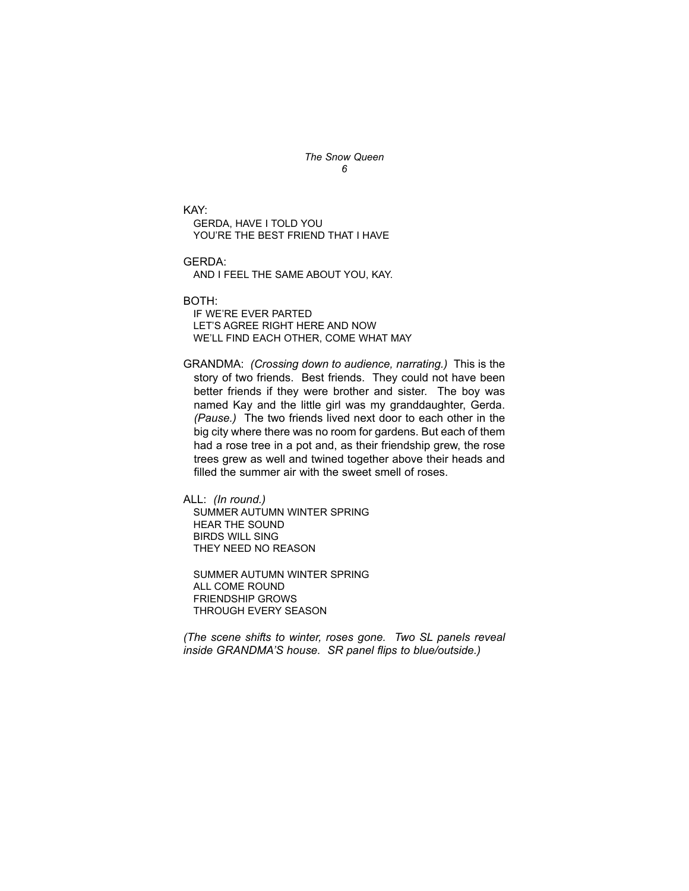KAY: GERDA, HAVE I TOLD YOU YOU'RE THE BEST FRIEND THAT I HAVE

GERDA:

AND I FEEL THE SAME ABOUT YOU, KAY.

BOTH:

IF WE'RE EVER PARTED LET'S AGREE RIGHT HERE AND NOW WE'LL FIND EACH OTHER, COME WHAT MAY

GRANDMA: *(Crossing down to audience, narrating.)* This is the story of two friends. Best friends. They could not have been better friends if they were brother and sister. The boy was named Kay and the little girl was my granddaughter, Gerda. *(Pause.)* The two friends lived next door to each other in the big city where there was no room for gardens. But each of them had a rose tree in a pot and, as their friendship grew, the rose trees grew as well and twined together above their heads and filled the summer air with the sweet smell of roses.

ALL: *(In round.)*

SUMMER AUTUMN WINTER SPRING HEAR THE SOUND BIRDS WILL SING THEY NEED NO REASON

SUMMER AUTUMN WINTER SPRING ALL COME ROUND FRIENDSHIP GROWS THROUGH EVERY SEASON

*(The scene shifts to winter, roses gone. Two SL panels reveal inside GRANDMA'S house. SR panel flips to blue/outside.)*